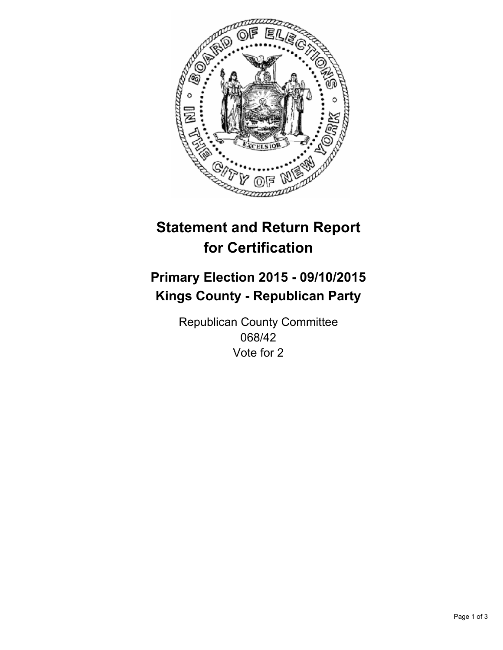

# **Statement and Return Report for Certification**

## **Primary Election 2015 - 09/10/2015 Kings County - Republican Party**

Republican County Committee 068/42 Vote for 2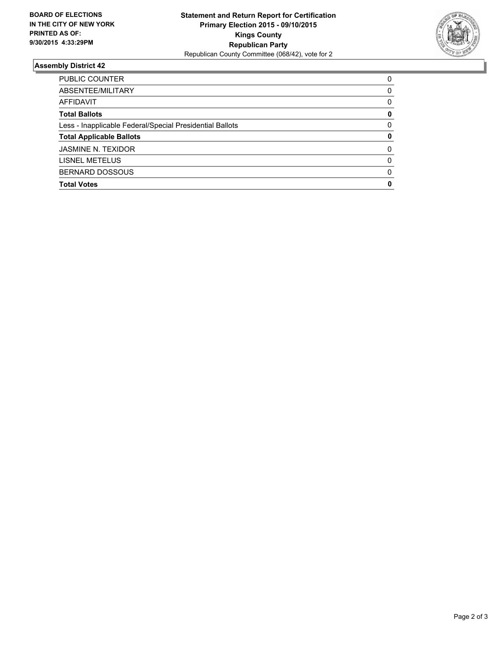

#### **Assembly District 42**

| PUBLIC COUNTER                                           | 0        |
|----------------------------------------------------------|----------|
| ABSENTEE/MILITARY                                        | 0        |
| AFFIDAVIT                                                | 0        |
| <b>Total Ballots</b>                                     | 0        |
| Less - Inapplicable Federal/Special Presidential Ballots | 0        |
| <b>Total Applicable Ballots</b>                          | 0        |
| <b>JASMINE N. TEXIDOR</b>                                | $\Omega$ |
| LISNEL METELUS                                           | 0        |
| <b>BERNARD DOSSOUS</b>                                   | $\Omega$ |
| <b>Total Votes</b>                                       | 0        |